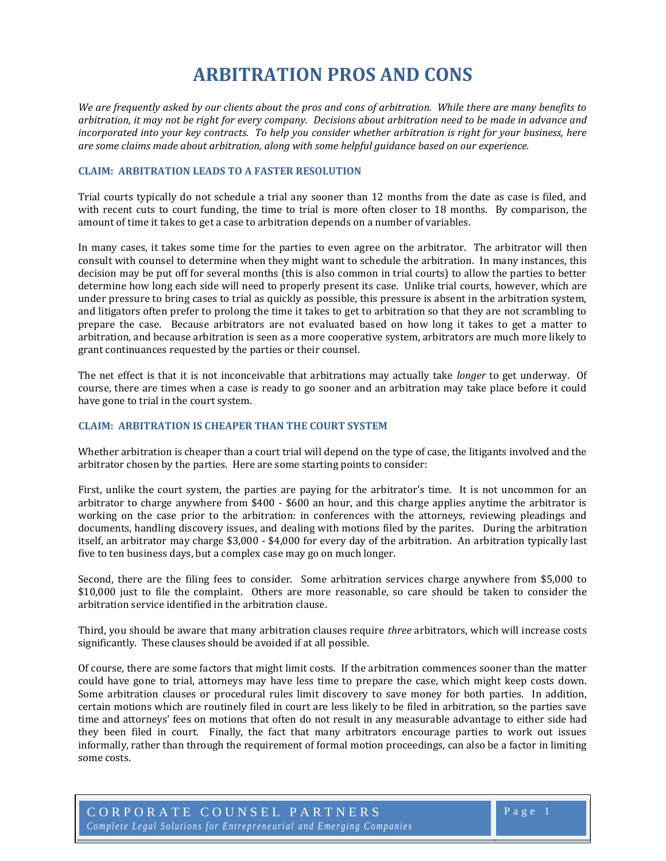# **ARBITRATION PROS AND CONS**

*We are frequently asked by our clients about the pros and cons of arbitration. While there are many benefits to arbitration, it may not be right for every company. Decisions about arbitration need to be made in advance and incorporated into your key contracts. To help you consider whether arbitration is right for your business, here are some claims made about arbitration, along with some helpful guidance based on our experience.*

#### **CLAIM: ARBITRATION LEADS TO A FASTER RESOLUTION**

Trial courts typically do not schedule a trial any sooner than 12 months from the date as case is filed, and with recent cuts to court funding, the time to trial is more often closer to 18 months. By comparison, the amount of time it takes to get a case to arbitration depends on a number of variables.

In many cases, it takes some time for the parties to even agree on the arbitrator. The arbitrator will then consult with counsel to determine when they might want to schedule the arbitration. In many instances, this decision may be put off for several months (this is also common in trial courts) to allow the parties to better determine how long each side will need to properly present its case. Unlike trial courts, however, which are under pressure to bring cases to trial as quickly as possible, this pressure is absent in the arbitration system, and litigators often prefer to prolong the time it takes to get to arbitration so that they are not scrambling to prepare the case. Because arbitrators are not evaluated based on how long it takes to get a matter to arbitration, and because arbitration is seen as a more cooperative system, arbitrators are much more likely to grant continuances requested by the parties or their counsel.

The net effect is that it is not inconceivable that arbitrations may actually take *longer* to get underway. Of course, there are times when a case is ready to go sooner and an arbitration may take place before it could have gone to trial in the court system.

## **CLAIM: ARBITRATION IS CHEAPER THAN THE COURT SYSTEM**

Whether arbitration is cheaper than a court trial will depend on the type of case, the litigants involved and the arbitrator chosen by the parties. Here are some starting points to consider:

First, unlike the court system, the parties are paying for the arbitrator's time. It is not uncommon for an arbitrator to charge anywhere from \$400 - \$600 an hour, and this charge applies anytime the arbitrator is working on the case prior to the arbitration: in conferences with the attorneys, reviewing pleadings and documents, handling discovery issues, and dealing with motions filed by the parites. During the arbitration itself, an arbitrator may charge \$3,000 - \$4,000 for every day of the arbitration. An arbitration typically last five to ten business days, but a complex case may go on much longer.

Second, there are the filing fees to consider. Some arbitration services charge anywhere from \$5,000 to \$10.000 just to file the complaint. Others are more reasonable, so care should be taken to consider the arbitration service identified in the arbitration clause.

Third, you should be aware that many arbitration clauses require *three* arbitrators, which will increase costs significantly. These clauses should be avoided if at all possible.

Of course, there are some factors that might limit costs. If the arbitration commences sooner than the matter could have gone to trial, attorneys may have less time to prepare the case, which might keep costs down. Some arbitration clauses or procedural rules limit discovery to save money for both parties. In addition, certain motions which are routinely filed in court are less likely to be filed in arbitration, so the parties save time and attorneys' fees on motions that often do not result in any measurable advantage to either side had they been filed in court. Finally, the fact that many arbitrators encourage parties to work out issues informally, rather than through the requirement of formal motion proceedings, can also be a factor in limiting some costs.